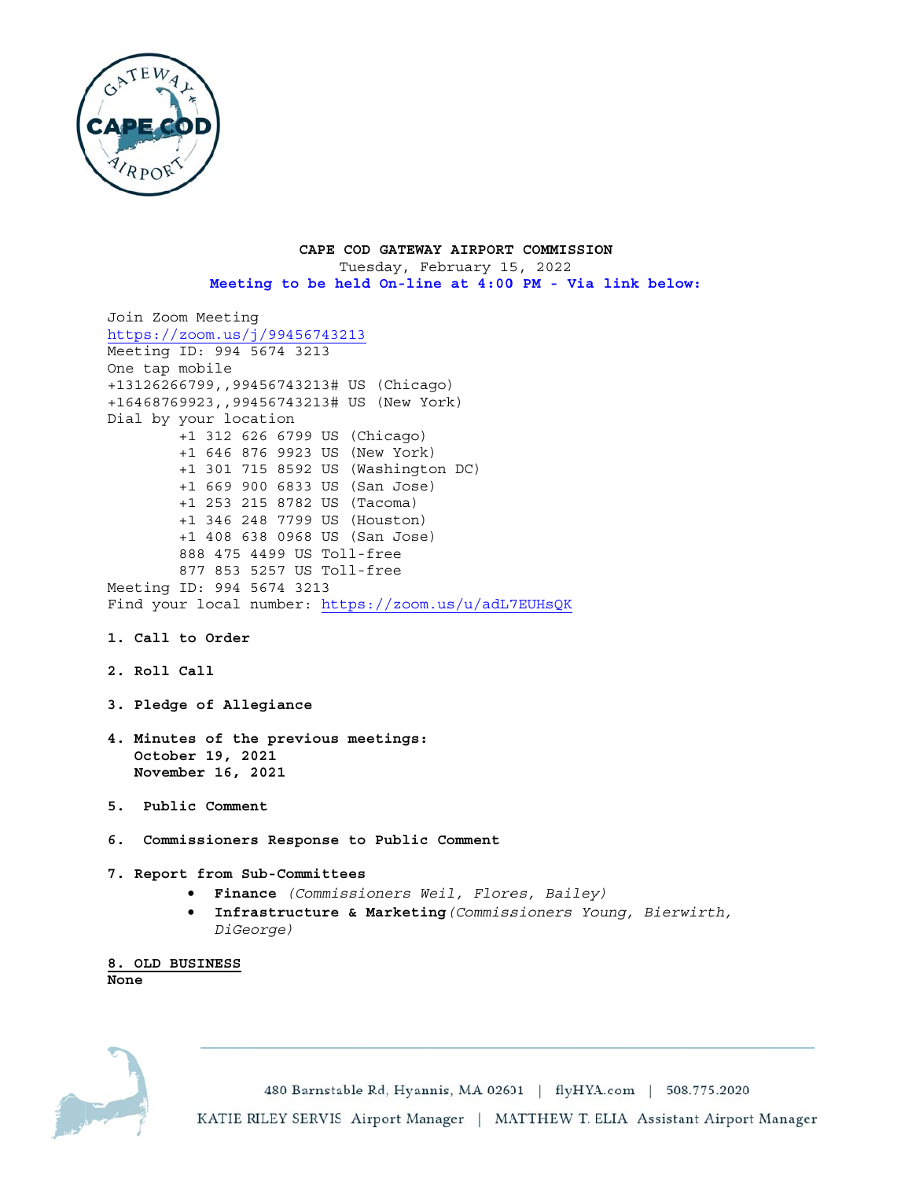

CAPE COD GATEWAY AIRPORT COMMISSION Tuesday, February 15, 2022 Meeting to be held On-line at 4:00 PM - Via link below:

```
Join Zoom Meeting
https://zoom.us/j/99456743213Meeting ID: 994 5674 3213
One tap mobile
+13126266799,,99456743213# US (Chicago)
+16468769923,,99456743213# US (New York)
Dial by your location
        +1 312 626 6799 US (Chicago)
        +1 646 876 9923 US (New York)
        +1 301 715 8592 US (Washington DC)
        +1 669 900 6833 US (San Jose)
        +1 253 215 8782 US (Tacoma)
        +1 346 248 7799 US (Houston)
        +1 408 638 0968 US (San Jose)
        888 475 4499 US Toll-free
        877 853 5257 US Toll-free
Meeting ID: 994 5674 3213
Find your local number: https://zoom.us/u/adL7EUHsQK
1. Call to Order
2. Roll Call
3. Pledge of Allegiance
4. Minutes of the previous meetings:
   October 19, 2021
  November 16, 2021
5. Public Comment
6. Commissioners Response to Public Comment
7. Report from Sub-Committees
         · Finance (Commissioners Weil, Flores, Bailey)
            Infrastructure & Marketing (Commissioners Young, Bierwirth,
         \bulletDiGeorge)
8. OLD BUSINESS
```
None

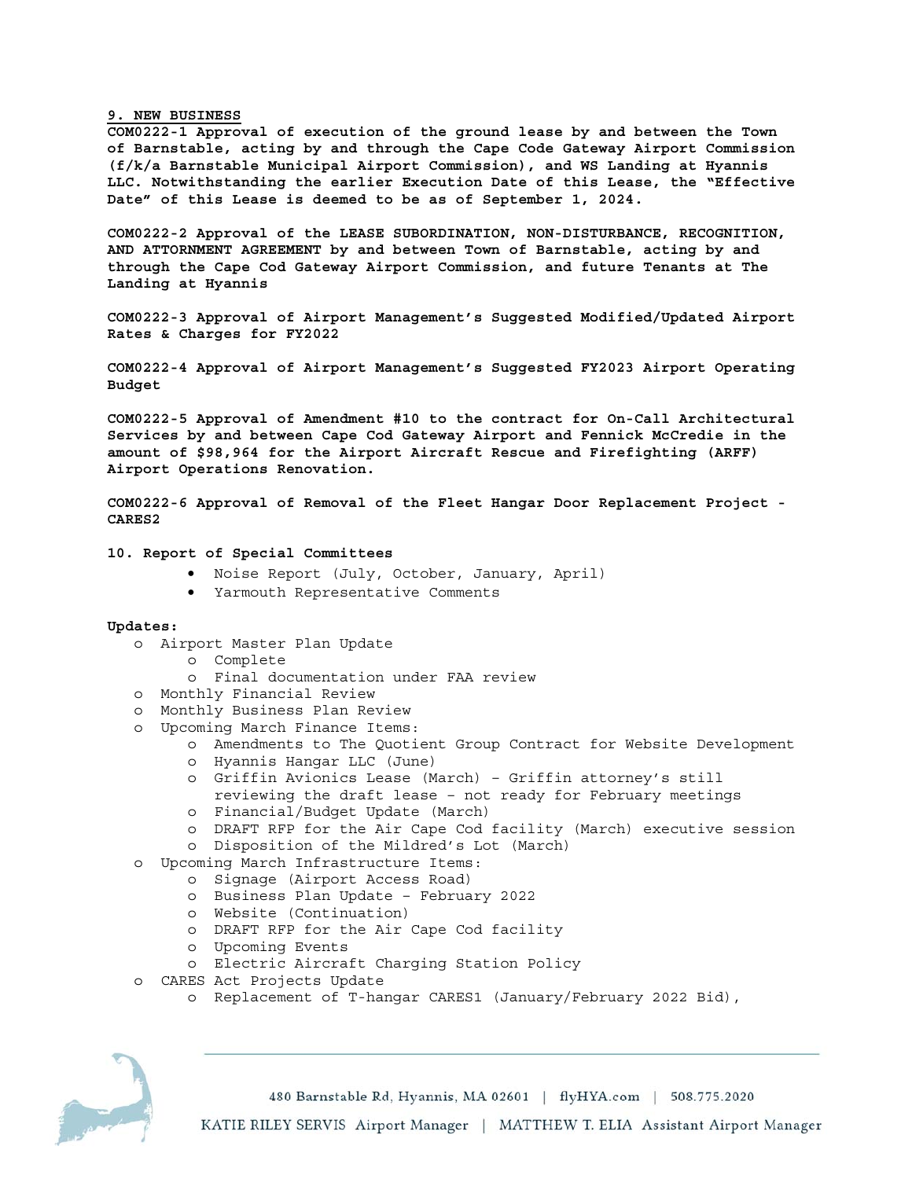## **9. NEW BUSINESS**

**COM0222-1 Approval of execution of the ground lease by and between the Town of Barnstable, acting by and through the Cape Code Gateway Airport Commission (f/k/a Barnstable Municipal Airport Commission), and WS Landing at Hyannis LLC. Notwithstanding the earlier Execution Date of this Lease, the "Effective Date" of this Lease is deemed to be as of September 1, 2024.** 

**COM0222-2 Approval of the LEASE SUBORDINATION, NON-DISTURBANCE, RECOGNITION, AND ATTORNMENT AGREEMENT by and between Town of Barnstable, acting by and through the Cape Cod Gateway Airport Commission, and future Tenants at The Landing at Hyannis** 

**COM0222-3 Approval of Airport Management's Suggested Modified/Updated Airport Rates & Charges for FY2022** 

**COM0222-4 Approval of Airport Management's Suggested FY2023 Airport Operating Budget** 

**COM0222-5 Approval of Amendment #10 to the contract for On-Call Architectural Services by and between Cape Cod Gateway Airport and Fennick McCredie in the amount of \$98,964 for the Airport Aircraft Rescue and Firefighting (ARFF) Airport Operations Renovation.** 

**COM0222-6 Approval of Removal of the Fleet Hangar Door Replacement Project - CARES2** 

#### **10. Report of Special Committees**

- Noise Report (July, October, January, April)
- Yarmouth Representative Comments

#### **Updates:**

- o Airport Master Plan Update
	- o Complete
	- o Final documentation under FAA review
- o Monthly Financial Review
- o Monthly Business Plan Review
- o Upcoming March Finance Items:
	- o Amendments to The Quotient Group Contract for Website Development o Hyannis Hangar LLC (June)
	- o Griffin Avionics Lease (March) Griffin attorney's still
	- reviewing the draft lease not ready for February meetings o Financial/Budget Update (March)
	-
	- o DRAFT RFP for the Air Cape Cod facility (March) executive session
	- o Disposition of the Mildred's Lot (March)
- o Upcoming March Infrastructure Items:
	- o Signage (Airport Access Road)
	- o Business Plan Update February 2022
	- o Website (Continuation)
	- o DRAFT RFP for the Air Cape Cod facility
	- o Upcoming Events
	- o Electric Aircraft Charging Station Policy
- o CARES Act Projects Update
	- o Replacement of T-hangar CARES1 (January/February 2022 Bid),



480 Barnstable Rd, Hyannis, MA 02601 | flyHYA.com | 508.775.2020

KATIE RILEY SERVIS Airport Manager | MATTHEW T. ELIA Assistant Airport Manager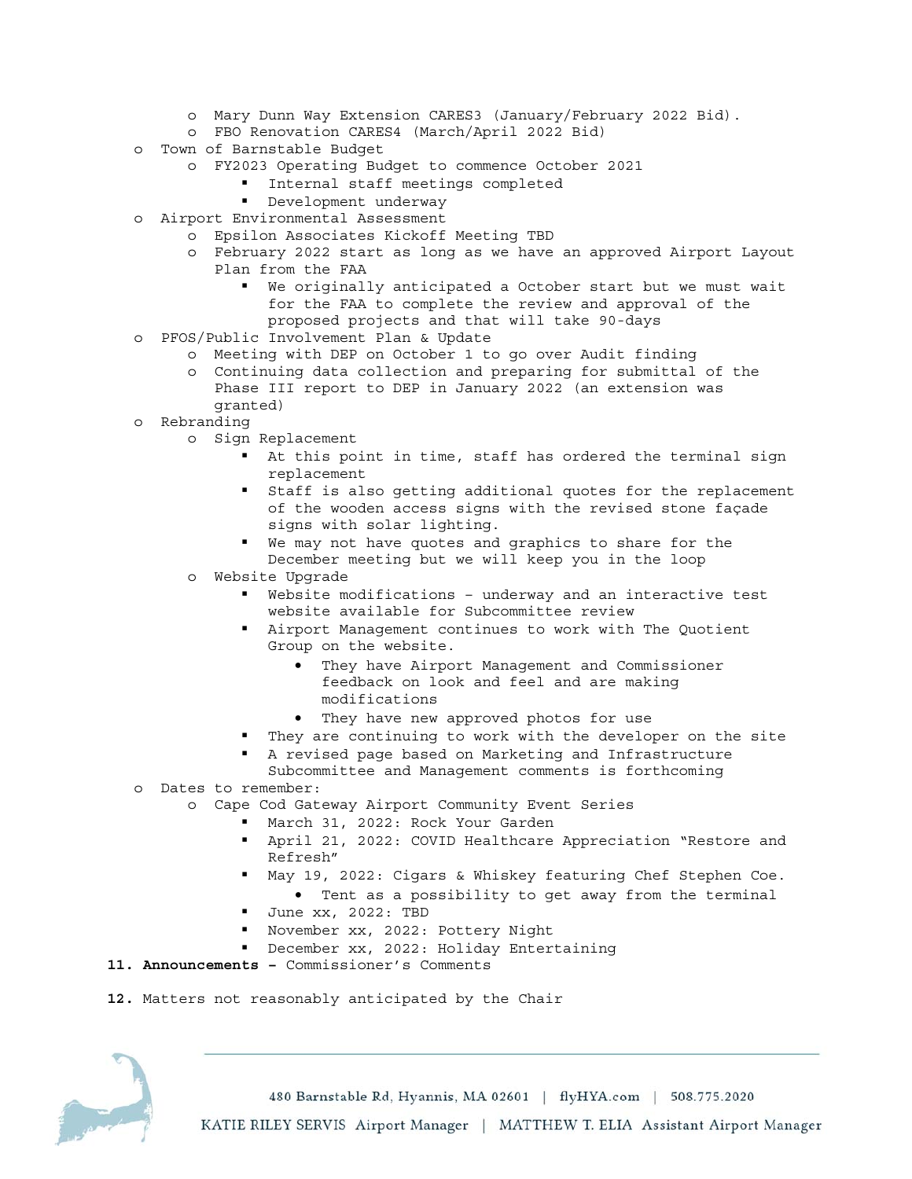- o Mary Dunn Way Extension CARES3 (January/February 2022 Bid).
- o FBO Renovation CARES4 (March/April 2022 Bid)
- o Town of Barnstable Budget
	- o FY2023 Operating Budget to commence October 2021
		- **Internal staff meetings completed**
		- **•** Development underway
- o Airport Environmental Assessment
	- o Epsilon Associates Kickoff Meeting TBD
		- o February 2022 start as long as we have an approved Airport Layout Plan from the FAA
			- We originally anticipated a October start but we must wait for the FAA to complete the review and approval of the proposed projects and that will take 90-days
- o PFOS/Public Involvement Plan & Update
	- o Meeting with DEP on October 1 to go over Audit finding
	- o Continuing data collection and preparing for submittal of the Phase III report to DEP in January 2022 (an extension was granted)
- o Rebranding
	- o Sign Replacement
		- At this point in time, staff has ordered the terminal sign replacement
		- Staff is also getting additional quotes for the replacement of the wooden access signs with the revised stone façade signs with solar lighting.
		- We may not have quotes and graphics to share for the December meeting but we will keep you in the loop
		- o Website Upgrade
			- Website modifications underway and an interactive test website available for Subcommittee review
			- Airport Management continues to work with The Quotient Group on the website.
				- They have Airport Management and Commissioner feedback on look and feel and are making modifications
				- They have new approved photos for use
			- They are continuing to work with the developer on the site
			- A revised page based on Marketing and Infrastructure
- Subcommittee and Management comments is forthcoming o Dates to remember:
	- o Cape Cod Gateway Airport Community Event Series
		- March 31, 2022: Rock Your Garden
		- April 21, 2022: COVID Healthcare Appreciation "Restore and Refresh"
		- May 19, 2022: Cigars & Whiskey featuring Chef Stephen Coe.
			- Tent as a possibility to get away from the terminal
		- Uune xx, 2022: TBD
		- November xx, 2022: Pottery Night
		- December xx, 2022: Holiday Entertaining
- **11. Announcements** Commissioner's Comments
- **12.** Matters not reasonably anticipated by the Chair

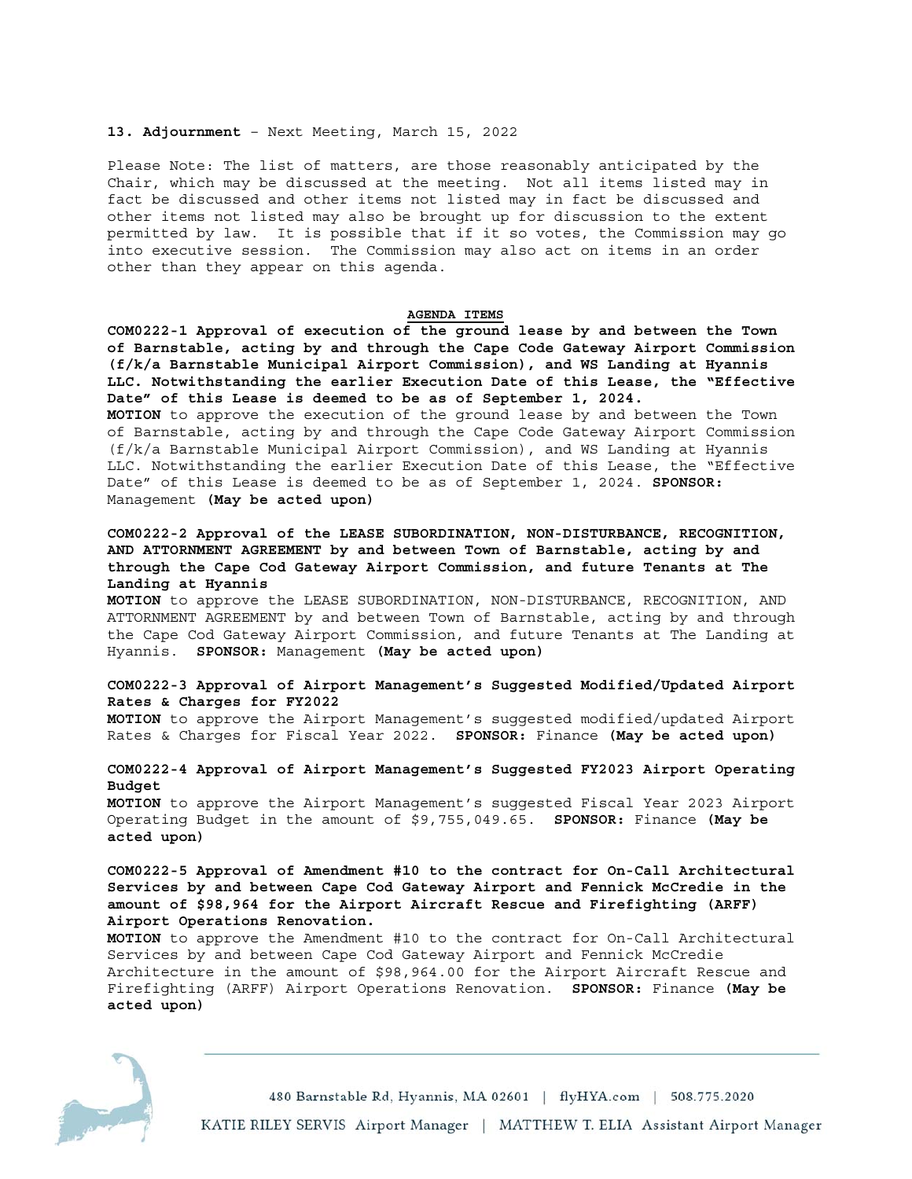### **13. Adjournment** – Next Meeting, March 15, 2022

Please Note: The list of matters, are those reasonably anticipated by the Chair, which may be discussed at the meeting. Not all items listed may in fact be discussed and other items not listed may in fact be discussed and other items not listed may also be brought up for discussion to the extent permitted by law. It is possible that if it so votes, the Commission may go into executive session. The Commission may also act on items in an order other than they appear on this agenda.

#### **AGENDA ITEMS**

**COM0222-1 Approval of execution of the ground lease by and between the Town of Barnstable, acting by and through the Cape Code Gateway Airport Commission (f/k/a Barnstable Municipal Airport Commission), and WS Landing at Hyannis LLC. Notwithstanding the earlier Execution Date of this Lease, the "Effective Date" of this Lease is deemed to be as of September 1, 2024. MOTION** to approve the execution of the ground lease by and between the Town of Barnstable, acting by and through the Cape Code Gateway Airport Commission (f/k/a Barnstable Municipal Airport Commission), and WS Landing at Hyannis LLC. Notwithstanding the earlier Execution Date of this Lease, the "Effective Date" of this Lease is deemed to be as of September 1, 2024. **SPONSOR:** Management **(May be acted upon)** 

# **COM0222-2 Approval of the LEASE SUBORDINATION, NON-DISTURBANCE, RECOGNITION, AND ATTORNMENT AGREEMENT by and between Town of Barnstable, acting by and through the Cape Cod Gateway Airport Commission, and future Tenants at The Landing at Hyannis**

**MOTION** to approve the LEASE SUBORDINATION, NON-DISTURBANCE, RECOGNITION, AND ATTORNMENT AGREEMENT by and between Town of Barnstable, acting by and through the Cape Cod Gateway Airport Commission, and future Tenants at The Landing at Hyannis. **SPONSOR:** Management **(May be acted upon)** 

## **COM0222-3 Approval of Airport Management's Suggested Modified/Updated Airport Rates & Charges for FY2022**

**MOTION** to approve the Airport Management's suggested modified/updated Airport Rates & Charges for Fiscal Year 2022. **SPONSOR:** Finance **(May be acted upon)**

## **COM0222-4 Approval of Airport Management's Suggested FY2023 Airport Operating Budget**

**MOTION** to approve the Airport Management's suggested Fiscal Year 2023 Airport Operating Budget in the amount of \$9,755,049.65. **SPONSOR:** Finance **(May be acted upon)**

# **COM0222-5 Approval of Amendment #10 to the contract for On-Call Architectural Services by and between Cape Cod Gateway Airport and Fennick McCredie in the amount of \$98,964 for the Airport Aircraft Rescue and Firefighting (ARFF) Airport Operations Renovation.**

**MOTION** to approve the Amendment #10 to the contract for On-Call Architectural Services by and between Cape Cod Gateway Airport and Fennick McCredie Architecture in the amount of \$98,964.00 for the Airport Aircraft Rescue and Firefighting (ARFF) Airport Operations Renovation. **SPONSOR:** Finance **(May be acted upon)**